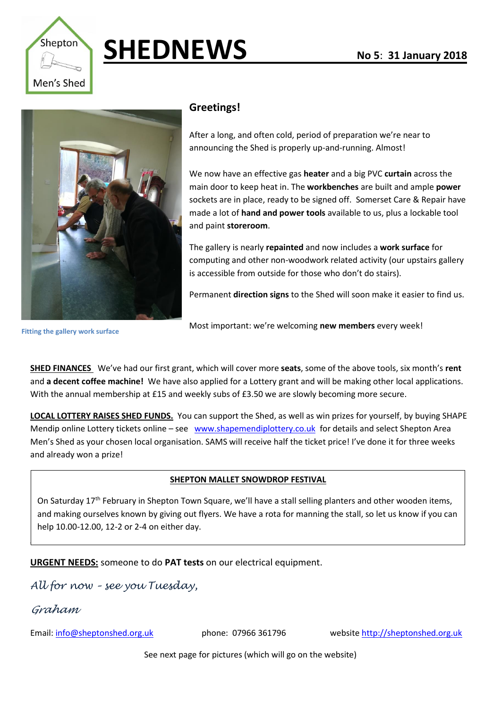

## **SHEDNEWS No 5: 31 January 2018**



## **Greetings!**

After a long, and often cold, period of preparation we're near to announcing the Shed is properly up-and-running. Almost!

We now have an effective gas **heater** and a big PVC **curtain** across the main door to keep heat in. The **workbenches** are built and ample **power** sockets are in place, ready to be signed off. Somerset Care & Repair have made a lot of **hand and power tools** available to us, plus a lockable tool and paint **storeroom**.

The gallery is nearly **repainted** and now includes a **work surface** for computing and other non-woodwork related activity (our upstairs gallery is accessible from outside for those who don't do stairs).

Permanent **direction signs** to the Shed will soon make it easier to find us.

**Fitting the gallery work surface**

Most important: we're welcoming **new members** every week!

**SHED FINANCES** We've had our first grant, which will cover more **seats**, some of the above tools, six month's **rent** and **a decent coffee machine!** We have also applied for a Lottery grant and will be making other local applications. With the annual membership at £15 and weekly subs of £3.50 we are slowly becoming more secure.

**LOCAL LOTTERY RAISES SHED FUNDS.** You can support the Shed, as well as win prizes for yourself, by buying SHAPE Mendip online Lottery tickets online – see [www.shapemendiplottery.co.uk](http://www.shapemendiplottery.co.uk/) for details and select Shepton Area Men's Shed as your chosen local organisation. SAMS will receive half the ticket price! I've done it for three weeks and already won a prize!

## **SHEPTON MALLET SNOWDROP FESTIVAL**

On Saturday 17<sup>th</sup> February in Shepton Town Square, we'll have a stall selling planters and other wooden items, and making ourselves known by giving out flyers. We have a rota for manning the stall, so let us know if you can help 10.00-12.00, 12-2 or 2-4 on either day.

**URGENT NEEDS:** someone to do **PAT tests** on our electrical equipment.

*All for now – see you Tuesday,*

*Graham*

All for now and see you on Tuesday!

Email: [info@sheptonshed.org.uk](mailto:info@sheptonshed.org.uk) phone: 07966 361796 websit[e http://sheptonshed.org.uk](http://sheptonshed.org.uk/)

See next page for pictures (which will go on the website)